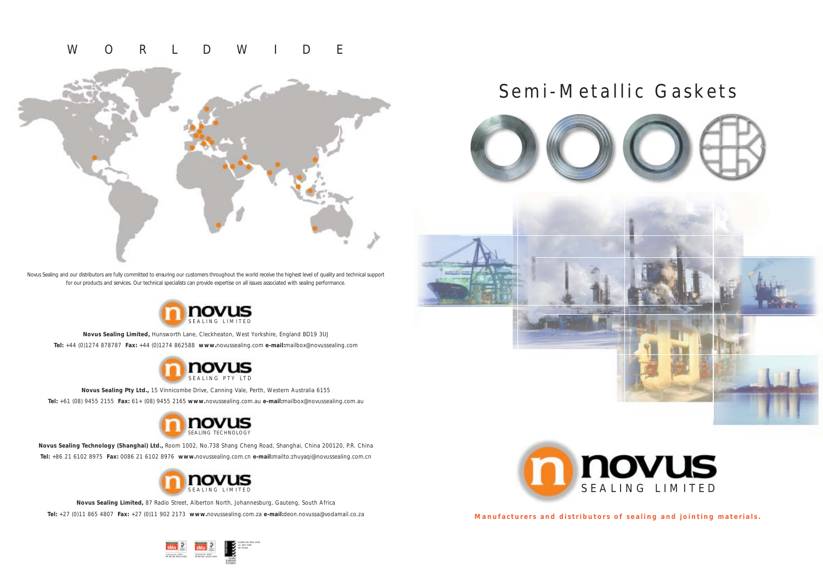**Manufacturers and distributors of sealing and jointing materials.**

# Semi-Metallic Gaskets





Novus Sealing and our distributors are fully committed to ensuring our customers throughout the world receive the highest level of quality and technical support for our products and services. Our technical specialists can provide expertise on all issues associated with sealing performance.



**Novus Sealing Limited,** Hunsworth Lane, Cleckheaton, West Yorkshire, England BD19 3UJ **Tel:** +44 (0)1274 878787 **Fax:** +44 (0)1274 862588 **www.**novussealing.com **e-mail:**mailbox@novussealing.com

**Novus Sealing Pty Ltd.,** 15 Vinnicombe Drive, Canning Vale, Perth, Western Australia 6155

**Tel:** +61 (08) 9455 2155 **Fax:** 61+ (08) 9455 2165 **www.**novussealing.com.au **e-mail:**mailbox@novussealing.com.au





**Novus Sealing Technology (Shanghai) Ltd.,** Room 1002, No.738 Shang Cheng Road, Shanghai, China 200120, P.R. China **Tel:** +86 21 6102 8975 **Fax:** 0086 21 6102 8976 **www.**novussealing.com.cn **e-mail:**mailto:zhuyaqi@novussealing.com.cn



# WORLDWIDE





**Novus Sealing Limited,** 87 Radio Street, Alberton North, Johannesburg, Gauteng, South Africa **Tel:** +27 (0)11 865 4807 **Fax:** +27 (0)11 902 2173 **www.**novussealing.com.za **e-mail:**deon.novussa@vodamail.co.za

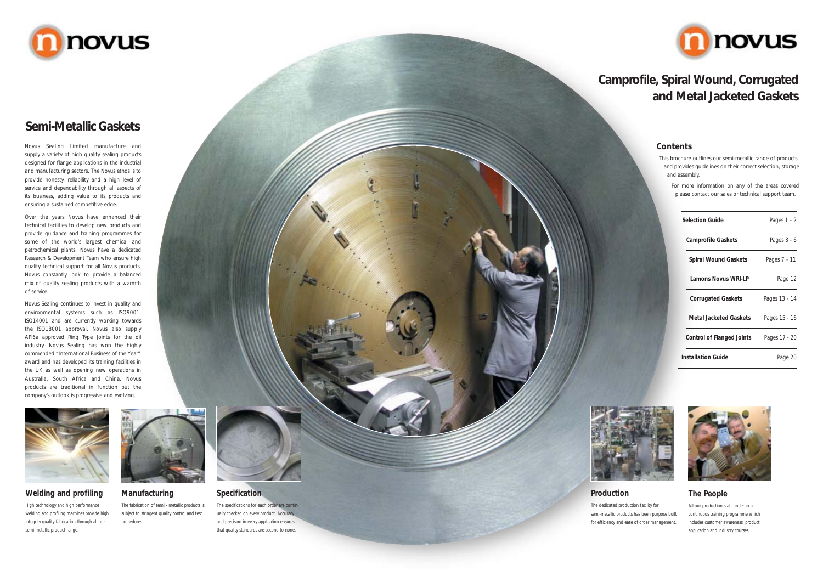Novus Sealing Limited manufacture and supply a variety of high quality sealing products designed for flange applications in the industrial and manufacturing sectors. The Novus ethos is to provide honesty, reliability and a high level of service and dependability through all aspects of its business, adding value to its products and ensuring a sustained competitive edge.

Over the years Novus have enhanced their technical facilities to develop new products and provide guidance and training programmes for some of the world's largest chemical and petrochemical plants. Novus have a dedicated Research & Development Team who ensure high quality technical support for all Novus products. Novus constantly look to provide a balanced mix of quality sealing products with a warmth of service.

> The specifications for each order are continually checked on every product. Accuracy and precision in every application ensures that quality standards are second to none



Novus Sealing continues to invest in quality and environmental systems such as ISO9001, ISO14001 and are currently working towards the ISO18001 approval. Novus also supply API6a approved Ring Type Joints for the oil industry. Novus Sealing has won the highly commended "International Business of the Year" award and has developed its training facilities in the UK as well as opening new operations in Australia, South Africa and China. Novus products are traditional in function but the company's outlook is progressive and evolving.





# **Semi-Metallic Gaskets**

#### **Contents**

This brochure outlines our semi-metallic range of products and provides guidelines on their correct selection, storage and assembly.

For more information on any of the areas covered please contact our sales or technical support team.

# **Camprofile, Spiral Wound, Corrugated and Metal Jacketed Gaskets**

## **Welding and profiling**

High technology and high performance welding and profiling machines provide high integrity quality fabrication through all our semi metallic product range.



#### **Specification**

## **Production**

The dedicated production facility for semi-metallic products has been purpose built for efficiency and ease of order management.



## **The People**

All our production staff undergo a continuous training programme which includes customer awareness, product application and industry courses.

## **Manufacturing**

The fabrication of semi - metallic products is subject to stringent quality control and test procedures.



| <b>Selection Guide</b>           | Pages 1 - 2   |
|----------------------------------|---------------|
| <b>Camprofile Gaskets</b>        | Pages 3 - 6   |
| <b>Spiral Wound Gaskets</b>      | Pages 7 - 11  |
| <b>Lamons Novus WRI-LP</b>       | Page 12       |
| <b>Corrugated Gaskets</b>        | Pages 13 - 14 |
| <b>Metal Jacketed Gaskets</b>    | Pages 15 - 16 |
| <b>Control of Flanged Joints</b> | Pages 17 - 20 |
| Installation Guide               | Page 20       |



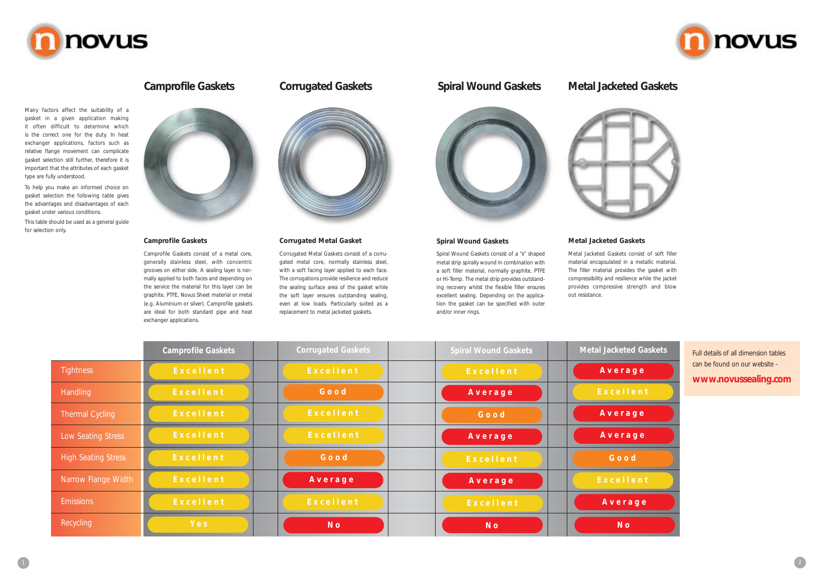#### **Camprofile Gaskets**

Camprofile Gaskets consist of a metal core, generally stainless steel, with concentric grooves on either side. A sealing layer is normally applied to both faces and depending on the service the material for this layer can be graphite, PTFE, Novus Sheet material or metal (e.g. Aluminium or silver). Camprofile gaskets are ideal for both standard pipe and heat exchanger applications.



#### **Spiral Wound Gaskets**

Spiral Wound Gaskets consist of a 'V' shaped metal strip spirally wound in combination with a soft filler material, normally graphite, PTFE or Hi-Temp. The metal strip provides outstanding recovery whilst the flexible filler ensures excellent sealing. Depending on the application the gasket can be specified with outer and/or inner rings.

#### **Corrugated Metal Gasket**

Corrugated Metal Gaskets consist of a corrugated metal core, normally stainless steel, with a soft facing layer applied to each face. The corrugations provide resilience and reduce the sealing surface area of the gasket while the soft layer ensures outstanding sealing, even at low loads. Particularly suited as a replacement to metal jacketed gaskets.











## **Camprofile Gaskets Corrugated Gaskets Spiral Wound Gaskets**

## **Metal Jacketed Gaskets**

#### Metal Jacketed Gaskets consist of soft filler material encapsulated in a metallic material. The filler material provides the gasket with compressibility and resilience while the jacket provides compressive strength and blow out resistance.

## **Metal Jacketed Gaskets**

Many factors affect the suitability of a gasket in a given application making it often difficult to determine which is the correct one for the duty. In heat exchanger applications, factors such as relative flange movement can complicate gasket selection still further, therefore it is important that the attributes of each gasket type are fully understood.

To help you make an informed choice on gasket selection the following table gives the advantages and disadvantages of each gasket under various conditions.

This table should be used as a general guide for selection only.



|                            | <b>Camprofile Gaskets</b> | <b>Corrugated Gaskets</b> | <b>Spiral Wound Gaskets</b> | <b>Metal Jacketed Gaskets</b> |
|----------------------------|---------------------------|---------------------------|-----------------------------|-------------------------------|
| <b>Tightness</b>           | Excellent                 | Excellent                 | Excellent                   | Average                       |
| <b>Handling</b>            | Excellent                 | Good                      | Average                     | Excellent                     |
| <b>Thermal Cycling</b>     | Excellent                 | Excellent                 | Good                        | Average                       |
| Low Seating Stress         | Excellent                 | Excellent                 | Average                     | Average                       |
| <b>High Seating Stress</b> | Excellent                 | Good                      | Excellent                   | Good                          |
| Narrow Flange Width        | Excellent                 | Average                   | Average                     | Excellent                     |
| <b>Emissions</b>           | Excellent                 | Excellent                 | Excellent                   | Average                       |
| Recycling                  | Yes                       | N <sub>o</sub>            | N <sub>o</sub>              | N <sub>o</sub>                |





Full details of all dimension tables can be found on our website -

**www.novussealing.com**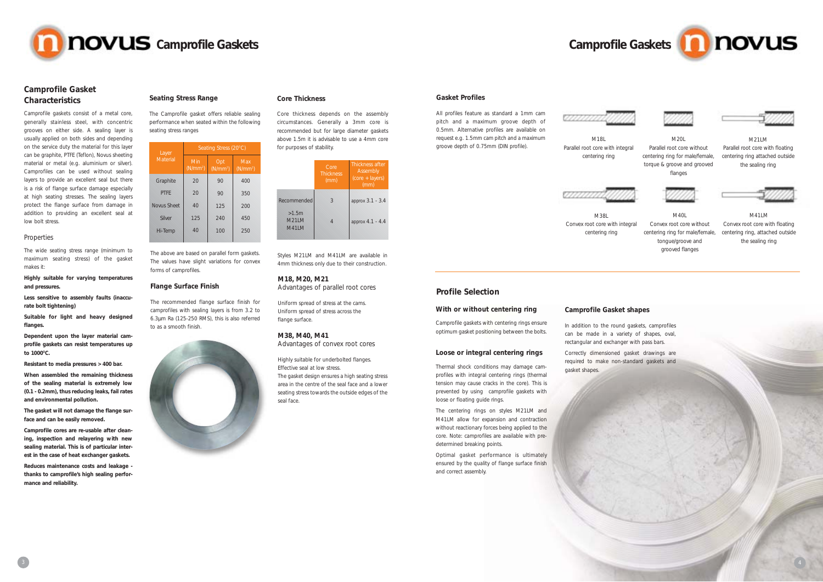## **Camprofile Gasket Characteristics**

Camprofile gaskets consist of a metal core, generally stainless steel, with concentric grooves on either side. A sealing layer is usually applied on both sides and depending on the service duty the material for this layer can be graphite, PTFE (Teflon), Novus sheeting material or metal (e.g. aluminium or silver). Camprofiles can be used without sealing layers to provide an excellent seal but there is a risk of flange surface damage especially at high seating stresses. The sealing layers protect the flange surface from damage in addition to providing an excellent seal at low bolt stress.

**Dependent upon the layer material camprofile gaskets can resist temperatures up** to 1000°C.

#### Properties

The wide seating stress range (minimum to maximum seating stress) of the gasket makes it:

#### **Highly suitable for varying temperatures and pressures.**

**Less sensitive to assembly faults (inaccurate bolt tightening)**

**Suitable for light and heavy designed flanges.**

**Resistant to media pressures > 400 bar.**

**When assembled the remaining thickness of the sealing material is extremely low (0.1 - 0.2mm), thus reducing leaks, fail rates and environmental pollution.**

**The gasket will not damage the flange surface and can be easily removed.**

**Camprofile cores are re-usable after cleaning, inspection and relayering with new sealing material. This is of particular interest in the case of heat exchanger gaskets.**

**Reduces maintenance costs and leakage thanks to camprofile's high sealing performance and reliability.**

#### **Seating Stress Range**



 $MAO$ Convex root core without centering ring for male/female, tongue/groove and grooved flanges

The Camprofile gasket offers reliable sealing performance when seated within the following seating stress ranges

#### **Flange Surface Finish**

The recommended flange surface finish for camprofiles with sealing layers is from 3.2 to 6.3µm Ra (125-250 RMS), this is also referred to as a smooth finish.



#### **Core Thickness**

Core thickness depends on the assembly circumstances. Generally a 3mm core is recommended but for large diameter gaskets above 1.5m it is advisable to use a 4mm core for purposes of stability.

#### **M18, M20, M21**

Advantages of parallel root cores

Uniform spread of stress at the cams. Uniform spread of stress across the flange surface.

#### **M38, M40, M41**

Advantages of convex root cores

Highly suitable for underbolted flanges. Effective seal at low stress. The gasket design ensures a high seating stress area in the centre of the seal face and a lower seating stress towards the outside edges of the seal face.



M18L Parallel root core with integral centering ring



M20L Parallel root core without centering ring for male/female, torque & groove and grooved flanges



M21LM Parallel root core with floating centering ring attached outside the sealing ring

#### **Gasket Profiles**

All profiles feature as standard a 1mm cam pitch and a maximum groove depth of 0.5mm. Alternative profiles are available on request e.g. 1.5mm cam pitch and a maximum groove depth of 0.75mm (DIN profile).



M38L Convex root core with integral centering ring



M41LM Convex root core with floating centering ring, attached outside the sealing ring

#### **With or without centering ring**

Camprofile gaskets with centering rings ensure optimum gasket positioning between the bolts.

| Layer       | Seating Stress (20°C)       |                             |                             |  |  |  |
|-------------|-----------------------------|-----------------------------|-----------------------------|--|--|--|
| Material    | Min<br>(N/mm <sup>2</sup> ) | Opt<br>(N/mm <sup>2</sup> ) | Max<br>(N/mm <sup>2</sup> ) |  |  |  |
| Graphite    | 20                          | 90                          | 400                         |  |  |  |
| <b>PTFF</b> | 20                          | 90                          | 350                         |  |  |  |
| Novus Sheet | 40                          | 125                         | 200                         |  |  |  |
| Silver      | 125                         | 240                         | 450                         |  |  |  |
| Hi-Temp     | 40                          | 100                         | 250                         |  |  |  |
|             |                             |                             |                             |  |  |  |

The above are based on parallel form gaskets. The values have slight variations for convex forms of camprofiles.

Styles M21LM and M41LM are available in 4mm thickness only due to their construction.

#### **Loose or integral centering rings**

Thermal shock conditions may damage camprofiles with integral centering rings (thermal tension may cause cracks in the core). This is prevented by using camprofile gaskets with loose or floating guide rings.

The centering rings on styles M21LM and M41LM allow for expansion and contraction without reactionary forces being applied to the core. Note: camprofiles are available with predetermined breaking points.

Optimal gasket performance is ultimately ensured by the quality of flange surface finish and correct assembly.

## **Camprofile Gasket shapes**

In addition to the round gaskets, camprofiles can be made in a variety of shapes, oval, rectangular and exchanger with pass bars.

Correctly dimensioned gasket drawings are required to make non-standard gaskets and gasket shapes.



#### **Profile Selection**

|                                       | Core<br><b>Thickness</b><br>(mm) | Thickness after<br>Assembly<br>$(core + layers)$<br>(mm) |
|---------------------------------------|----------------------------------|----------------------------------------------------------|
| Recommended                           | 3                                | approx 3.1 - 3.4                                         |
| >1.5m<br><b>M21IM</b><br><b>M41IM</b> |                                  | approx 4.1 - 4.4                                         |

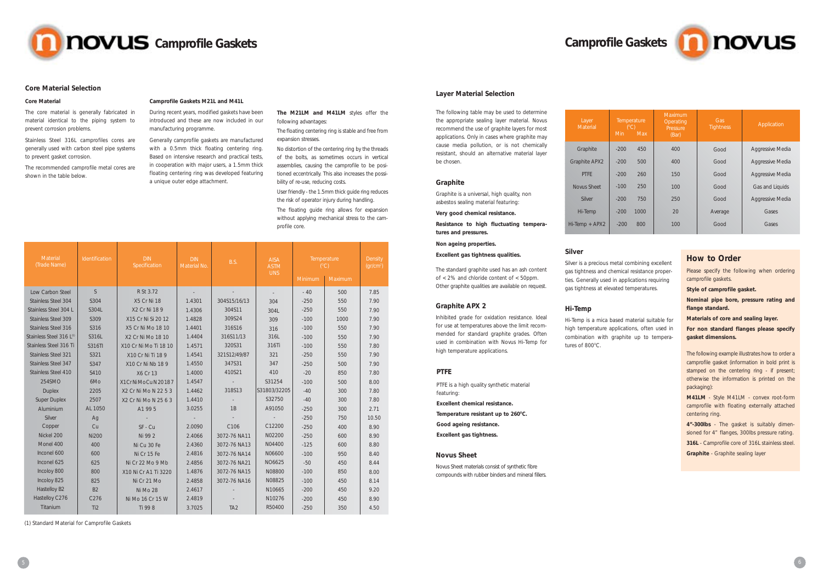

#### **Core Material Selection**

#### **Core Material**

The core material is generally fabricated in material identical to the piping system to prevent corrosion problems.

Stainless Steel 316L camprofiles cores are generally used with carbon steel pipe systems to prevent gasket corrosion.

The recommended camprofile metal cores are shown in the table below.

#### **Camprofile Gaskets M21L and M41L**

During recent years, modified gaskets have been introduced and these are now included in our manufacturing programme.

Generally camprofile gaskets are manufactured with a 0.5mm thick floating centering ring. Based on intensive research and practical tests, in cooperation with major users, a 1.5mm thick floating centering ring was developed featuring a unique outer edge attachment.

**The M21LM and M41LM** styles offer the following advantages:

The floating centering ring is stable and free from expansion stresses.

No distortion of the centering ring by the threads of the bolts, as sometimes occurs in vertical assemblies, causing the camprofile to be positioned eccentrically. This also increases the possibility of re-use, reducing costs.

User friendly - the 1.5mm thick guide ring reduces the risk of operator injury during handling.

The floating guide ring allows for expansion without applying mechanical stress to the camprofile core.

#### **Layer Material Selection**

Hi-Temp is a mica based material suitable for high temperature applications, often used in combination with graphite up to temperatures of 800°C.



The following table may be used to determine the appropriate sealing layer material. Novus recommend the use of graphite layers for most applications. Only in cases where graphite may cause media pollution, or is not chemically resistant, should an alternative material layer be chosen.

| Layer<br>Material    | Temperature<br>(C)<br><b>Min</b> | <b>Max</b> | Maximum<br>Operating<br>Pressure<br>(Bar) | Gas<br><b>Tightness</b> | Application             |
|----------------------|----------------------------------|------------|-------------------------------------------|-------------------------|-------------------------|
| Graphite             | $-200$                           | 450        | 400                                       | Good                    | Aggressive Media        |
| <b>Graphite APX2</b> | $-200$                           | 500        | 400                                       | Good                    | Aggressive Media        |
| <b>PTFF</b>          | $-200$                           | 260        | 150                                       | Good                    | Aggressive Media        |
| Novus Sheet          | $-100$                           | 250        | 100                                       | Good                    | Gas and Liquids         |
| Silver               | $-200$                           | 750        | 250                                       | Good                    | <b>Aggressive Media</b> |
| Hi-Temp              | $-200$                           | 1000       | 20                                        | Average                 | Gases                   |
| Hi-Temp + APX2       | $-200$                           | 800        | 100                                       | Good                    | Gases                   |
|                      |                                  |            |                                           |                         |                         |

#### **Graphite**

Graphite is a universal, high quality, non asbestos sealing material featuring:

#### **Very good chemical resistance.**

**Resistance to high fluctuating temperatures and pressures.**

#### **Non ageing properties.**

#### **Excellent gas tightness qualities.**

#### **PTFE**

PTFE is a high quality synthetic material featuring: **Excellent chemical resistance.** Temperature resistant up to 260°C. **Good ageing resistance. Excellent gas tightness.**

#### **Novus Sheet**

Novus Sheet materials consist of synthetic fibre compounds with rubber binders and mineral fillers.

#### **Silver**

Please specify the following when ordering camprofile gaskets.

Silver is a precious metal combining excellent gas tightness and chemical resistance properties. Generally used in applications requiring gas tightness at elevated temperatures.

The standard graphite used has an ash content of < 2% and chloride content of < 50ppm. Other graphite qualities are available on request.

#### **Hi-Temp**

| Material<br>(Trade Name)   | Identification  | <b>DIN</b><br><b>DIN</b><br><b>AISA</b><br>B.S.<br>Specification<br>Material No.<br><b>ASTM</b><br><b>UNS</b> |        | Temperature<br>(C)       | Density<br>(qr/cm <sup>2</sup> ) |                |         |       |
|----------------------------|-----------------|---------------------------------------------------------------------------------------------------------------|--------|--------------------------|----------------------------------|----------------|---------|-------|
|                            |                 |                                                                                                               |        |                          |                                  | <b>Minimum</b> | Maximum |       |
| Low Carbon Steel           | <sub>S</sub>    | R St 3.72                                                                                                     |        |                          | $\sim$                           | $-40$          | 500     | 7.85  |
| Stainless Steel 304        | S304            | X5 Cr Ni 18                                                                                                   | 1.4301 | 304S15/16/13             | 304                              | $-250$         | 550     | 7.90  |
| Stainless Steel 304 L      | S304L           | X2 Cr Ni 18 9                                                                                                 | 1.4306 | 304S11                   | 304L                             | $-250$         | 550     | 7.90  |
| <b>Stainless Steel 309</b> | S309            | X15 Cr Ni Si 20 12                                                                                            | 1.4828 | 309S24                   | 309                              | $-100$         | 1000    | 7.90  |
| Stainless Steel 316        | S316            | X5 Cr Ni Mo 18 10                                                                                             | 1.4401 | 316S16                   | 316                              | $-100$         | 550     | 7.90  |
| Stainless Steel 316 L(1)   | S316L           | X2 Cr Ni Mo 18 10                                                                                             | 1.4404 | 316S11/13                | 316L                             | $-100$         | 550     | 7.90  |
| Stainless Steel 316 Ti     | S316TI          | X10 Cr Ni Mo Ti 18 10                                                                                         | 1.4571 | 320S31                   | 316Ti                            | $-100$         | 550     | 7.80  |
| <b>Stainless Steel 321</b> | S321            | X10 Cr Ni Ti 18 9                                                                                             | 1.4541 | 321S12/49/87             | 321                              | $-250$         | 550     | 7.90  |
| <b>Stainless Steel 347</b> | S347            | X10 Cr Ni Nb 18 9                                                                                             | 1.4550 | 347S31                   | 347                              | $-250$         | 500     | 7.90  |
| Stainless Steel 410        | S410            | X6 Cr 13                                                                                                      | 1.4000 | 410S21                   | 410                              | $-20$          | 850     | 7.80  |
| 254SMO                     | 6Mo             | X1Cr Ni Mo Cu N 20187                                                                                         | 1.4547 | $\overline{\phantom{a}}$ | S31254                           | $-100$         | 500     | 8.00  |
| <b>Duplex</b>              | 2205            | X2 Cr Ni Mo N 22 5 3                                                                                          | 1.4462 | 318S13                   | S31803/32205                     | $-40$          | 300     | 7.80  |
| <b>Super Duplex</b>        | 2507            | X2 Cr Ni Mo N 25 6 3                                                                                          | 1.4410 |                          | S32750                           | $-40$          | 300     | 7.80  |
| Aluminium                  | AL 1050         | A1 99 5                                                                                                       | 3.0255 | 1B                       | A91050                           | $-250$         | 300     | 2.71  |
| Silver                     | Ag              |                                                                                                               |        |                          |                                  | $-250$         | 750     | 10.50 |
| Copper                     | Cu              | SF - Cu                                                                                                       | 2.0090 | C106                     | C12200                           | $-250$         | 400     | 8.90  |
| Nickel 200                 | <b>Ni200</b>    | Ni 99 2                                                                                                       | 2.4066 | 3072-76 NA11             | N02200                           | $-250$         | 600     | 8.90  |
| Monel 400                  | 400             | Ni Cu 30 Fe                                                                                                   | 2.4360 | 3072-76 NA13             | N04400                           | $-125$         | 600     | 8.80  |
| Inconel 600                | 600             | Ni Cr 15 Fe                                                                                                   | 2.4816 | 3072-76 NA14             | N06600                           | $-100$         | 950     | 8.40  |
| Inconel 625                | 625             | Ni Cr 22 Mo 9 Mb                                                                                              | 2.4856 | 3072-76 NA21             | NO6625                           | $-50$          | 450     | 8.44  |
| Incoloy 800                | 800             | X10 Ni Cr A1 Ti 3220                                                                                          | 1.4876 | 3072-76 NA15             | N08800                           | $-100$         | 850     | 8.00  |
| Incoloy 825                | 825             | Ni Cr 21 Mo                                                                                                   | 2.4858 | 3072-76 NA16             | N08825                           | $-100$         | 450     | 8.14  |
| Hastelloy B2               | <b>B2</b>       | Ni Mo 28                                                                                                      | 2.4617 |                          | N10665                           | $-200$         | 450     | 9.20  |
| Hastelloy C276             | C276            | Ni Mo 16 Cr 15 W                                                                                              | 2.4819 |                          | N10276                           | $-200$         | 450     | 8.90  |
| Titanium                   | Ti <sub>2</sub> | Ti 99 8                                                                                                       | 3.7025 | TA <sub>2</sub>          | R50400                           | $-250$         | 350     | 4.50  |

(1) Standard Material for Camprofile Gaskets

#### **Graphite APX 2**

Inhibited grade for oxidation resistance. Ideal for use at temperatures above the limit recommended for standard graphite grades. Often used in combination with Novus Hi-Temp for high temperature applications.

**Style of camprofile gasket.**

**Nominal pipe bore, pressure rating and flange standard.**

**Materials of core and sealing layer.**

**For non standard flanges please specify gasket dimensions.**

The following example illustrates how to order a camprofile gasket (information in bold print is stamped on the centering ring - if present; otherwise the information is printed on the packaging):

**M41LM** - Style M41LM - convex root-form camprofile with floating externally attached centering ring.

**4"-300lbs** - The gasket is suitably dimensioned for 4" flanges, 300lbs pressure rating.

**316L** - Camprofile core of 316L stainless steel.

**Graphite** - Graphite sealing layer

## **How to Order**

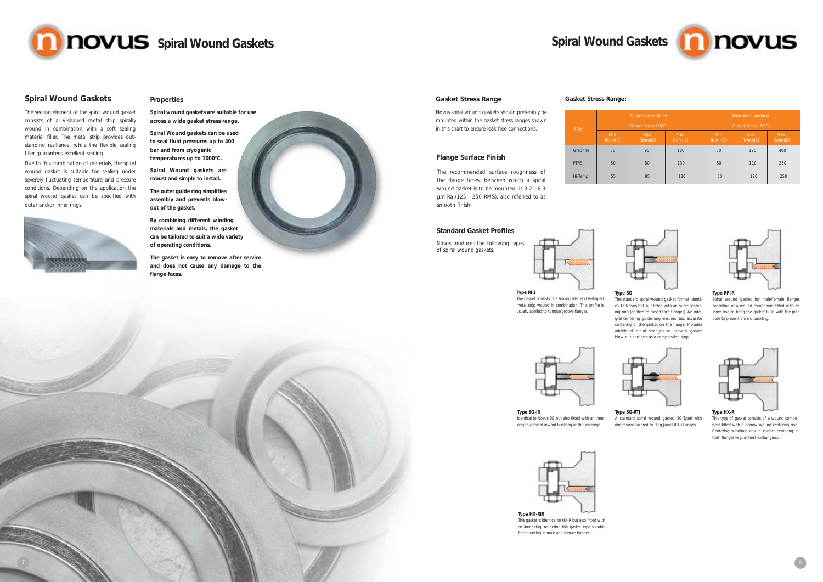#### **Spiral Wound Gaskets**

The sealing element of the spiral wound gasket consists of a V-shaped metal strip spirally wound in combination with a soft sealing material filler. The metal strip provides outstanding resilience, while the flexible sealing filler guarantees excellent sealing.

**Spiral Wound gaskets can be used to seal fluid pressures up to 400 bar and from cryogenic**  temperatures up to 1000°C.

Due to this combination of materials, the spiral wound gasket is suitable for sealing under severely fluctuating temperature and pressure conditions. Depending on the application the spiral wound gasket can be specified with outer and/or inner rings.





#### **Properties**

**Spiral wound gaskets are suitable for use across a wide gasket stress range.**

**Spiral Wound gaskets are robust and simple to install.**

**The outer guide ring simplifies assembly and prevents blowout of the gasket.**

**By combining different winding materials and metals, the gasket can be tailored to suit a wide variety of operating conditions.**

**The gasket is easy to remove after service and does not cause any damage to the flange faces.**



#### **Gasket Stress Range**

Novus spiral wound gaskets should preferably be mounted within the gasket stress ranges shown in this chart to ensure leak free connections.

#### **Flange Surface Finish**

The recommended surface roughness of the flange faces, between which a spiral wound gasket is to be mounted, is 3.2 - 6.3 µm Ra (125 - 250 RMS), also referred to as smooth finish.

#### **Gasket Stress Range:**

| Filler   |                        | Single side confined |                      | Both sides confined    |                 |                        |  |
|----------|------------------------|----------------------|----------------------|------------------------|-----------------|------------------------|--|
|          |                        | Gasket Stress (20°C) |                      | Gasket Stress (20°C)   |                 |                        |  |
|          | <b>Min</b><br>(N/mm 2) | Opt<br>(N/mm 2)      | <b>Max</b><br>N/mm2) | <b>Min</b><br>(N/mm 2) | Opt<br>(N/mm 2) | <b>Max</b><br>(N/mm 2) |  |
| Graphite | 50                     | 95                   | 180                  | 50                     | 120             | 400                    |  |
| PTFE     | 50                     | 80                   | 130                  | 50                     | 110             | 250                    |  |
| Hi-Temp  | 55                     | 95                   | 130                  | 50                     | 120             | 250                    |  |



#### **Type SG**

The standard spiral wound gasket format identical to Novus RF1 but fitted with an outer centering ring (applied to raised face flanges). An integral centering guide ring ensures fast, accurate centering of the gasket on the flange. Provides additional radial strength to prevent gasket blow-out and acts as a compression stop.



#### **Type RF-IR**

Spiral wound gasket for male/female flanges consisting of a wound component fitted with an inner ring to bring the gasket flush with the pipe bore to prevent inward buckling.



**Type SG-IR** Identical to Novus SG but also fitted with an inner ring to prevent inward buckling at the windings.

#### **Type HX-R**

This type of gasket consists of a wound component fitted with a narrow wound centering ring. Centering windings ensure correct centering in flush flanges (e.g. in heat exchangers).

**Type RF1** The gasket consists of a sealing filler and V-shaped metal strip wound in combination. This profile is usually applied to tongue/groove flanges.



#### **Type SG-RTJ**

A standard spiral wound gasket (SG Type) with dimensions tailored to Ring Joints (RTJ) flanges.





This gasket is identical to HX-R but also fitted with an inner ring, rendering this gasket type suitable for mounting in male and female flanges.





#### **Standard Gasket Profiles**

Novus produces the following types of spiral wound gaskets.

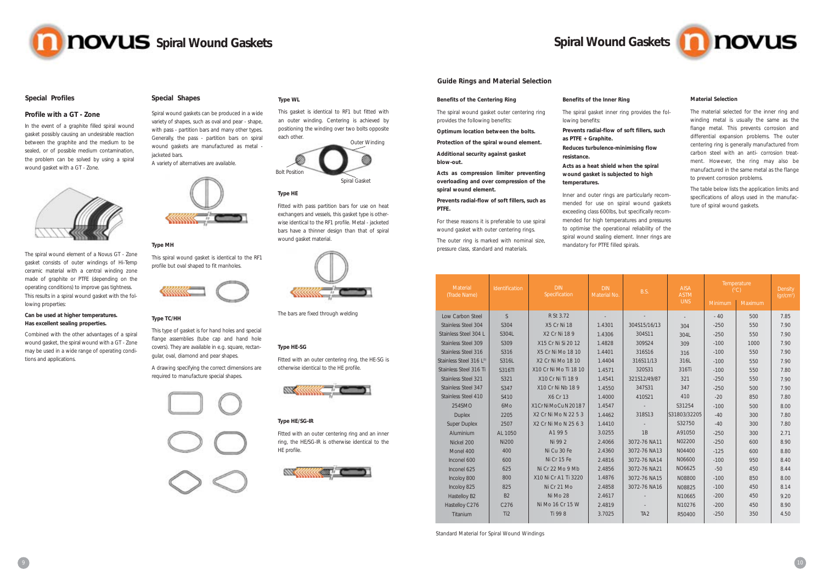# **Spiral Wound Gaskets**

#### **Profile with a GT - Zone**

In the event of a graphite filled spiral wound gasket possibly causing an undesirable reaction between the graphite and the medium to be sealed, or of possible medium contamination, the problem can be solved by using a spiral wound gasket with a GT - Zone.



The spiral wound element of a Novus GT - Zone gasket consists of outer windings of Hi-Temp ceramic material with a central winding zone made of graphite or PTFE (depending on the operating conditions) to improve gas tightness. This results in a spiral wound gasket with the following properties:

#### **Can be used at higher temperatures. Has excellent sealing properties.**

Combined with the other advantages of a spiral wound gasket, the spiral wound with a GT - Zone may be used in a wide range of operating conditions and applications.



Spiral wound gaskets can be produced in a wide variety of shapes, such as oval and pear - shape, with pass - partition bars and many other types. Generally, the pass - partition bars on spiral wound gaskets are manufactured as metal jacketed bars.

A variety of alternatives are available.



#### **Type MH**

This spiral wound gasket is identical to the RF1 profile but oval shaped to fit manholes.



#### **Type TC/HH**

This type of gasket is for hand holes and special flange assemblies (tube cap and hand hole covers). They are available in e.g. square, rectangular, oval, diamond and pear shapes.

A drawing specifying the correct dimensions are required to manufacture special shapes.



#### **Type WL**

This gasket is identical to RF1 but fitted with an outer winding. Centering is achieved by positioning the winding over two bolts opposite each other.

#### **Type HE**

Fitted with pass partition bars for use on heat exchangers and vessels, this gasket type is otherwise identical to the RF1 profile. Metal - jacketed bars have a thinner design than that of spiral wound gasket material.



The bars are fixed through welding

#### **Type HE-SG**

Fitted with an outer centering ring, the HE-SG is



otherwise identical to the HE profile.



#### **Type HE/SG-IR**

Fitted with an outer centering ring and an inner ring, the HE/SG-IR is otherwise identical to the HE profile.



#### **Material Selection**

The material selected for the inner ring and winding metal is usually the same as the flange metal. This prevents corrosion and differential expansion problems. The outer centering ring is generally manufactured from carbon steel with an anti- corrosion treatment. However, the ring may also be manufactured in the same metal as the flange to prevent corrosion problems.

The table below lists the application limits and specifications of alloys used in the manufacture of spiral wound gaskets.

#### **Benefits of the Centering Ring**

The spiral wound gasket outer centering ring provides the following benefits:

**Optimum location between the bolts.**

**Protection of the spiral wound element.**

**Additional security against gasket blow-out.**

**Acts as compression limiter preventing overloading and over compression of the spiral wound element.**

**Prevents radial-flow of soft fillers, such as PTFE.**

For these reasons it is preferable to use spiral wound gasket with outer centering rings.

The outer ring is marked with nominal size, pressure class, standard and materials.

| Benefits of the Inner Ring |  |  |  |  |
|----------------------------|--|--|--|--|
|----------------------------|--|--|--|--|

The spiral gasket inner ring provides the fol-

lowing benefits:

**Prevents radial-flow of soft fillers, such** 

**as PTFE + Graphite.** 

**Reduces turbulence-minimising flow resistance.**

# **Acts as a heat shield when the spiral**

## **wound gasket is subjected to high temperatures.**

Inner and outer rings are particularly recommended for use on spiral wound gaskets exceeding class 600lbs, but specifically recommended for high temperatures and pressures to optimise the operational reliability of the spiral wound sealing element. Inner rings are mandatory for PTFE filled spirals.



| Material<br>(Trade Name)             | Identification  | <b>DIN</b><br>Specification | <b>DIN</b><br>B.S.<br>Material No. |                 |              |         | <b>AISA</b><br><b>ASTM</b> |      | Temperature<br>(C) | Density<br>(qr/cm <sup>2</sup> ) |
|--------------------------------------|-----------------|-----------------------------|------------------------------------|-----------------|--------------|---------|----------------------------|------|--------------------|----------------------------------|
|                                      |                 |                             |                                    |                 | <b>UNS</b>   | Minimum | Maximum                    |      |                    |                                  |
| Low Carbon Steel                     | S               | R St 3.72                   |                                    |                 |              | $-40$   | 500                        | 7.85 |                    |                                  |
| Stainless Steel 304                  | S304            | <b>X5 Cr Ni 18</b>          | 1.4301                             | 304S15/16/13    | 304          | $-250$  | 550                        | 7.90 |                    |                                  |
| Stainless Steel 304 L                | S304L           | X2 Cr Ni 18 9               | 1.4306                             | 304S11          | 304L         | $-250$  | 550                        | 7.90 |                    |                                  |
| <b>Stainless Steel 309</b>           | S309            | X15 Cr Ni Si 20 12          | 1.4828                             | 309S24          | 309          | $-100$  | 1000                       | 7.90 |                    |                                  |
| Stainless Steel 316                  | S316            | X5 Cr Ni Mo 18 10           | 1.4401                             | 316S16          | 316          | $-100$  | 550                        | 7.90 |                    |                                  |
| Stainless Steel 316 L <sup>(1)</sup> | S316L           | X2 Cr Ni Mo 18 10           | 1.4404                             | 316S11/13       | 316L         | $-100$  | 550                        | 7.90 |                    |                                  |
| Stainless Steel 316 Ti               | S316TI          | X10 Cr Ni Mo Ti 18 10       | 1.4571                             | 320S31          | 316Ti        | $-100$  | 550                        | 7.80 |                    |                                  |
| <b>Stainless Steel 321</b>           | S321            | X10 Cr Ni Ti 18 9           | 1.4541                             | 321S12/49/87    | 321          | $-250$  | 550                        | 7.90 |                    |                                  |
| <b>Stainless Steel 347</b>           | S347            | X10 Cr Ni Nb 18 9           | 1.4550                             | 347S31          | 347          | $-250$  | 500                        | 7.90 |                    |                                  |
| Stainless Steel 410                  | S410            | X6 Cr 13                    | 1.4000                             | 410S21          | 410          | $-20$   | 850                        | 7.80 |                    |                                  |
| 254SMO                               | 6Mo             | X1CrNiMoCuN20187            | 1.4547                             |                 | S31254       | $-100$  | 500                        | 8.00 |                    |                                  |
| <b>Duplex</b>                        | 2205            | X2 Cr Ni Mo N 22 5 3        | 1.4462                             | 318S13          | S31803/32205 | $-40$   | 300                        | 7.80 |                    |                                  |
| <b>Super Duplex</b>                  | 2507            | X2 Cr Ni Mo N 25 6 3        | 1.4410                             |                 | S32750       | $-40$   | 300                        | 7.80 |                    |                                  |
| Aluminium                            | AL 1050         | A1 99 5                     | 3.0255                             | 1B              | A91050       | $-250$  | 300                        | 2.71 |                    |                                  |
| Nickel 200                           | <b>Ni200</b>    | Ni 99 2                     | 2.4066                             | 3072-76 NA11    | N02200       | $-250$  | 600                        | 8.90 |                    |                                  |
| Monel 400                            | 400             | Ni Cu 30 Fe                 | 2.4360                             | 3072-76 NA13    | N04400       | $-125$  | 600                        | 8.80 |                    |                                  |
| Inconel 600                          | 600             | Ni Cr 15 Fe                 | 2.4816                             | 3072-76 NA14    | N06600       | $-100$  | 950                        | 8.40 |                    |                                  |
| Inconel 625                          | 625             | Ni Cr 22 Mo 9 Mb            | 2.4856                             | 3072-76 NA21    | NO6625       | $-50$   | 450                        | 8.44 |                    |                                  |
| Incoloy 800                          | 800             | X10 Ni Cr A1 Ti 3220        | 1.4876                             | 3072-76 NA15    | N08800       | $-100$  | 850                        | 8.00 |                    |                                  |
| Incoloy 825                          | 825             | Ni Cr 21 Mo                 | 2.4858                             | 3072-76 NA16    | N08825       | $-100$  | 450                        | 8.14 |                    |                                  |
| Hastelloy B2                         | <b>B2</b>       | Ni Mo 28                    | 2.4617                             |                 | N10665       | $-200$  | 450                        | 9.20 |                    |                                  |
| Hastelloy C276                       | C276            | Ni Mo 16 Cr 15 W            | 2.4819                             |                 | N10276       | $-200$  | 450                        | 8.90 |                    |                                  |
| Titanium                             | Ti <sub>2</sub> | Ti 998                      | 3.7025                             | TA <sub>2</sub> | R50400       | $-250$  | 350                        | 4.50 |                    |                                  |

Standard Material for Spiral Wound Windings



#### **Guide Rings and Material Selection**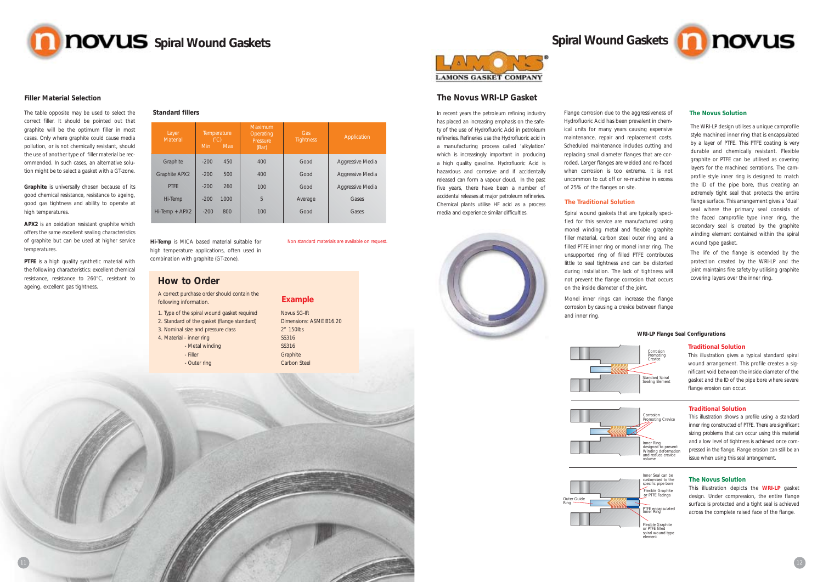

#### **The Novus WRI-LP Gasket**

Flange corrosion due to the aggressiveness of Hydrofluoric Acid has been prevalent in chemical units for many years causing expensive maintenance, repair and replacement costs. Scheduled maintenance includes cutting and replacing small diameter flanges that are corroded. Larger flanges are welded and re-faced when corrosion is too extreme. It is not uncommon to cut off or re-machine in excess of 25% of the flanges on site.

#### **The Traditional Solution**

Spiral wound gaskets that are typically specified for this service are manufactured using monel winding metal and flexible graphite filler material, carbon steel outer ring and a filled PTFE inner ring or monel inner ring. The unsupported ring of filled PTFE contributes little to seal tightness and can be distorted during installation. The lack of tightness will not prevent the flange corrosion that occurs on the inside diameter of the joint.

Monel inner rings can increase the flange

corrosion by causing a crevice between flange and inner ring.



The WRI-LP design utilises a unique camprofile style machined inner ring that is encapsulated by a layer of PTFE. This PTFE coating is very durable and chemically resistant. Flexible graphite or PTFE can be utilised as covering layers for the machined serrations. The camprofile style inner ring is designed to match the ID of the pipe bore, thus creating an extremely tight seal that protects the entire flange surface. This arrangement gives a 'dual' seal where the primary seal consists of the faced camprofile type inner ring, the secondary seal is created by the graphite winding element contained within the spiral wound type gasket.

The life of the flange is extended by the protection created by the WRI-LP and the joint maintains fire safety by utilising graphite covering layers over the inner ring.

**PTFE** is a high quality synthetic material with the following characteristics: excellent chemical resistance, resistance to 260°C, resistant to ageing, excellent gas tightness.

In recent years the petroleum refining industry has placed an increasing emphasis on the safety of the use of Hydrofluoric Acid in petroleum refineries. Refineries use the Hydrofluoric acid in a manufacturing process called 'alkylation' which is increasingly important in producing a high quality gasoline. Hydrofluoric Acid is hazardous and corrosive and if accidentally released can form a vapour cloud. In the past five years, there have been a number of accidental releases at major petroleum refineries. Chemical plants utilise HF acid as a process media and experience similar difficulties.





#### **Traditional Solution**

This illustration gives a typical standard spiral wound arrangement. This profile creates a significant void between the inside diameter of the gasket and the ID of the pipe bore where severe flange erosion can occur.

#### **Traditional Solution**

This illustration shows a profile using a standard inner ring constructed of PTFE. There are significant sizing problems that can occur using this material and a low level of tightness is achieved once compressed in the flange. Flange erosion can still be an issue when using this seal arrangement.

#### **The Novus Solution**

This illustration depicts the **WRI-LP** gasket design. Under compression, the entire flange surface is protected and a tight seal is achieved across the complete raised face of the flange.



# Inner Ring designed to prevent Winding deformation and reduce crevice volume

Inner Seal can be customised to the specific pipe bore Flexible Graphite or PTFE Facings PTFE encapsulated Inner Ring

> Flexible Graphite or PTFE filled spiral wound type element



**WRI-LP Flange Seal Configurations**

**Graphite** is universally chosen because of its good chemical resistance, resistance to ageing, good gas tightness and ability to operate at high temperatures.

**APX2** is an oxidation resistant graphite which offers the same excellent sealing characteristics of graphite but can be used at higher service temperatures.

The table opposite may be used to select the **Standard fillers** correct filler. It should be pointed out that graphite will be the optimum filler in most cases. Only where graphite could cause media pollution, or is not chemically resistant, should the use of another type of filler material be recommended. In such cases, an alternative solution might be to select a gasket with a GT-zone.

## **How to Order**

A correct purchase order should contain the following information.

1. Type of the spiral wound gasket required 2. Standard of the gasket (flange standard)

- 3. Nominal size and pressure class
- 4. Material inner ring
	- Metal winding
	- Filler - Outer ring

**Example**

Novus SG-IR Dimensions: ASME B16.20 2" 150lbs SS316 SS316 **Graphite** Carbon Steel

| Layer<br>Material    | Temperature<br>(C)<br><b>Max</b><br><b>Min</b> |      | Maximum<br>Gas<br>Operating<br><b>Tightness</b><br>Pressure<br>(Bar) |         | Application      |  |
|----------------------|------------------------------------------------|------|----------------------------------------------------------------------|---------|------------------|--|
| Graphite             | $-200$                                         | 450  | 400                                                                  | Good    | Aggressive Media |  |
| <b>Graphite APX2</b> | $-200$                                         | 500  | 400                                                                  | Good    | Aggressive Media |  |
| <b>PTFF</b>          | $-200$                                         | 260  | 100                                                                  | Good    | Aggressive Media |  |
| Hi-Temp              | $-200$                                         | 1000 | 5                                                                    | Average | Gases            |  |
| $Hi$ -Temp + $APX2$  | $-200$                                         | 800  | 100                                                                  | Good    | Gases            |  |
|                      |                                                |      |                                                                      |         |                  |  |



**Hi-Temp** is MICA based material suitable for high temperature applications, often used in combination with graphite (GT-zone).

Non standard materials are available on request.



#### **Filler Material Selection**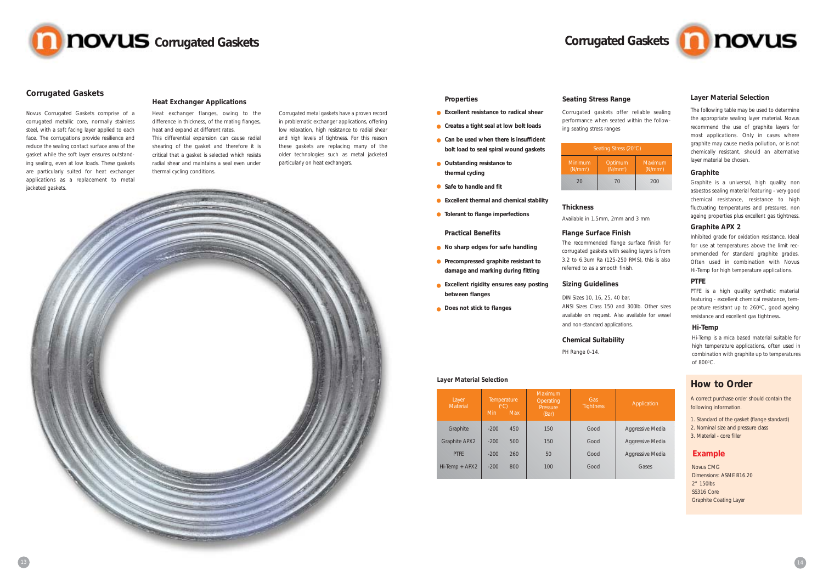#### **Properties**

- **Excellent resistance to radical shear**
- **Creates a tight seal at low bolt loads**
- **Can be used when there is insufficient bolt load to seal spiral wound gaskets**
- **Outstanding resistance to thermal cycling**
- **Safe to handle and fit**
- **Excellent thermal and chemical stability**
- **Tolerant to flange imperfections**
	- **Practical Benefits**
- **No sharp edges for safe handling**
- **Precompressed graphite resistant to damage and marking during fitting**
- **Excellent rigidity ensures easy posting between flanges**
- **Does not stick to flanges**

#### **Seating Stress Range**

Corrugated gaskets offer reliable sealing performance when seated within the following seating stress ranges

#### **Thickness**

Available in 1.5mm, 2mm and 3 mm

| Seating Stress (20°C)           |                                 |     |  |  |  |
|---------------------------------|---------------------------------|-----|--|--|--|
| Minimum<br>(N/mm <sup>2</sup> ) | Maximum<br>(N/mm <sup>2</sup> ) |     |  |  |  |
| 20                              | 70                              | 200 |  |  |  |

#### **Flange Surface Finish**

The recommended flange surface finish for corrugated gaskets with sealing layers is from 3.2 to 6.3um Ra (125-250 RMS), this is also referred to as a smooth finish.

#### **Sizing Guidelines**

DIN Sizes 10, 16, 25, 40 bar. ANSI Sizes Class 150 and 300lb. Other sizes available on request. Also available for vessel and non-standard applications.

#### **Chemical Suitability**

PH Range 0-14.



#### **Corrugated Gaskets**

Novus Corrugated Gaskets comprise of a corrugated metallic core, normally stainless steel, with a soft facing layer applied to each face. The corrugations provide resilience and reduce the sealing contact surface area of the gasket while the soft layer ensures outstanding sealing, even at low loads. These gaskets are particularly suited for heat exchanger applications as a replacement to metal jacketed gaskets.

> PTFE is a high quality synthetic material featuring - excellent chemical resistance, temperature resistant up to 260°C, good ageing resistance and excellent gas tightness**.**

#### **Heat Exchanger Applications**

Hi-Temp is a mica based material suitable for high temperature applications, often used in combination with graphite up to temperatures of  $800^{\circ}$ C.

# **Layer Material Selection Constanting of the Constantine Constanting of the Constantine Constantine Constantine Constantine Constantine Constantine Constantine Constantine Constantine Constantine Constantine Constantine**

Heat exchanger flanges, owing to the difference in thickness, of the mating flanges, heat and expand at different rates. This differential expansion can cause radial

shearing of the gasket and therefore it is critical that a gasket is selected which resists radial shear and maintains a seal even under thermal cycling conditions.

Corrugated metal gaskets have a proven record in problematic exchanger applications, offering low relaxation, high resistance to radial shear and high levels of tightness. For this reason these gaskets are replacing many of the older technologies such as metal jacketed particularly on heat exchangers.

#### **Layer Material Selection**

The following table may be used to determine the appropriate sealing layer material. Novus recommend the use of graphite layers for most applications. Only in cases where graphite may cause media pollution, or is not chemically resistant, should an alternative layer material be chosen.

| Layer<br>Material    | Temperature<br>(°C)<br>Min | <b>Max</b> | Maximum<br>Operating<br>Pressure<br>(Bar) | Gas<br><b>Tightness</b> |  |
|----------------------|----------------------------|------------|-------------------------------------------|-------------------------|--|
| Graphite             | $-200$                     | 450        | 150                                       | Good                    |  |
| <b>Graphite APX2</b> | $-200$                     | 500        | 150                                       | Good                    |  |
| <b>PTFF</b>          | $-200$                     | 260        | 50                                        | Good                    |  |
| Hi-Temp + APX2       | $-200$                     | 800        | 100                                       | Good                    |  |
|                      |                            |            |                                           |                         |  |



#### Application

Aggressive Media Aggressive Media Aggressive Media Gases

#### **Graphite**

Graphite is a universal, high quality, non asbestos sealing material featuring - very good chemical resistance, resistance to high fluctuating temperatures and pressures, non ageing properties plus excellent gas tightness.

#### **PTFE**

#### **Hi-Temp**

#### **Graphite APX 2**

Inhibited grade for oxidation resistance. Ideal for use at temperatures above the limit recommended for standard graphite grades. Often used in combination with Novus Hi-Temp for high temperature applications.



A correct purchase order should contain the following information.

- 1. Standard of the gasket (flange standard)
- 2. Nominal size and pressure class
- 3. Material core filler

## **Example**

Novus CMG Dimensions: ASME B16.20 2" 150lbs SS316 Core Graphite Coating Layer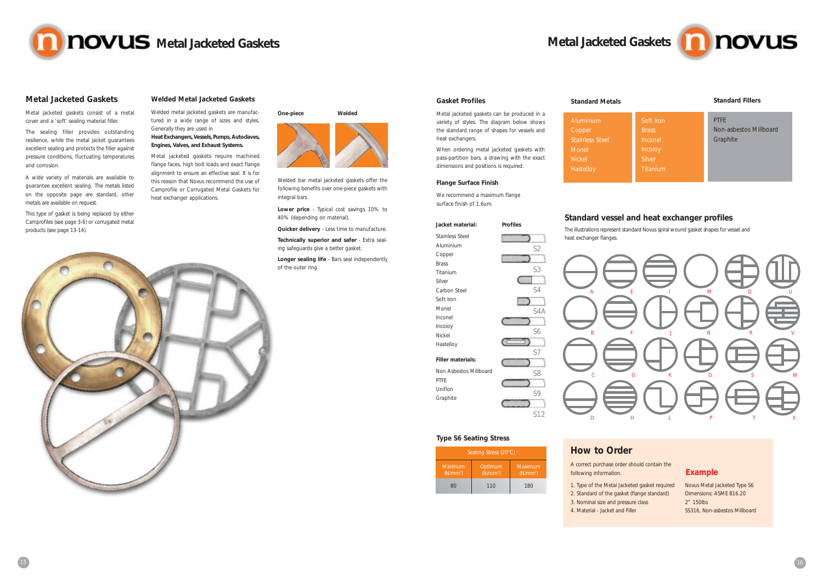## **Metal Jacketed Gaskets**

Metal jacketed gaskets consist of a metal cover and a 'soft' sealing material filler.

The sealing filler provides outstanding resilience, while the metal jacket guarantees excellent sealing and protects the filler against pressure conditions, fluctuating temperatures and corrosion.

#### **Gasket Profiles**

Soft Iron Brass Inconel Incoloy **Titanium** 

Metal jacketed gaskets can be produced in a variety of styles. The diagram below shows the standard range of shapes for vessels and heat exchangers.

PTFE Non-asbestos Millboard **Graphite** 

When ordering metal jacketed gaskets with pass-partition bars, a drawing with the exact dimensions and positions is required.

#### **Flange Surface Finish**

We recommend a maximum flange surface finish of 1.6um.

**Standard Metals**

Aluminium Copper Stainless Steel

Monel **Nickel** Hastelloy

#### **Standard Fillers**

# **Metal Jacketed Gaskets**

#### **Jacket material:**

Stainless Steel Aluminium Copper Brass Titanium Silver Carbon Steel Soft Iron Monel Inconel Incoloy Nickel Hastelloy

#### **Filler materials:**

Non Asbestos Millboard PTFE Uniflon Graphite



## **Standard vessel and heat exchanger profiles**

The illustrations represent standard Novus spiral wound gasket shapes for vessel and





A wide variety of materials are available to guarantee excellent sealing. The metals listed on the opposite page are standard, other metals are available on request.

> $(N/mm<sup>2</sup>)$ 80

This type of gasket is being replaced by either Camprofiles (see page 3-6) or corrugated metal products (see page 13-14).



#### **Welded Metal Jacketed Gaskets**

Welded metal jacketed gaskets are manufactured in a wide range of sizes and styles. Generally they are used in

#### **Heat Exchangers, Vessels, Pumps, Autoclaves, Engines, Valves, and Exhaust Systems.**

Metal jacketed gaskets require machined flange faces, high bolt loads and exact flange alignment to ensure an effective seal. It is for this reason that Novus recommend the use of Camprofile or Corrugated Metal Gaskets for heat exchanger applications.



# **How to Order**

A correct purchase order should contain the following information.

1. Type of the Metal Jacketed gasket required 2. Standard of the gasket (flange standard) 3. Nominal size and pressure class

- 
- 
- 4. Material Jacket and Filler



## **Example**

Novus Metal Jacketed Type S6 Dimensions: ASME B16.20 2" 150lbs SS316, Non-asbestos Millboard

Welded bar metal jacketed gaskets offer the following benefits over one-piece gaskets with integral bars

**Lower price** - Typical cost savings 10% to 40% (depending on material).

**Quicker delivery** - Less time to manufacture.

**Technically superior and safer** - Extra sealing safeguards give a better gasket.

**Longer sealing life** - Bars seal independently of the outer ring.



(N/mm2 110

(N/mm2 ) 180

**Type S6 Seating Stress**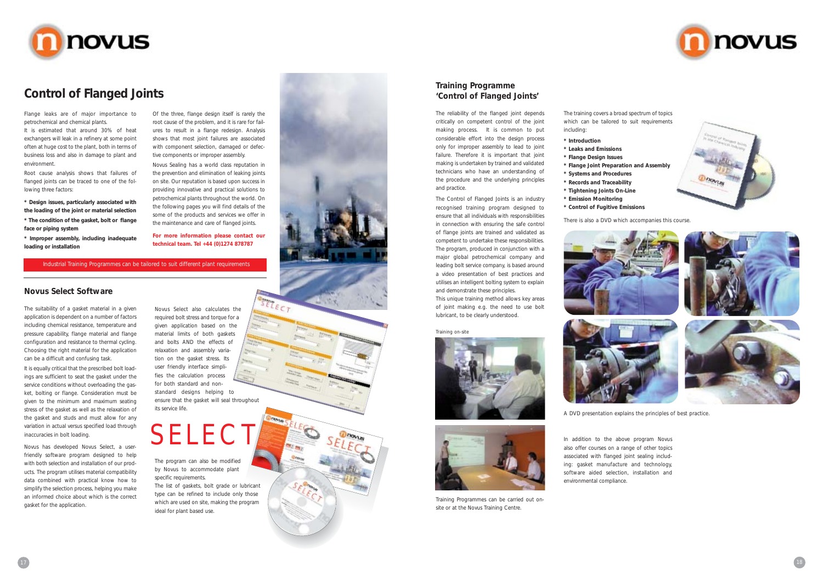

# **Control of Flanged Joints**

Flange leaks are of major importance to petrochemical and chemical plants.

It is estimated that around 30% of heat exchangers will leak in a refinery at some point often at huge cost to the plant, both in terms of business loss and also in damage to plant and environment.

Root cause analysis shows that failures of flanged joints can be traced to one of the following three factors:

**\* Design issues, particularly associated with the loading of the joint or material selection \* The condition of the gasket, bolt or flange**

**face or piping system**

**\* Improper assembly, including inadequate loading or installation**

Of the three, flange design itself is rarely the root cause of the problem, and it is rare for failures to result in a flange redesign. Analysis shows that most joint failures are associated with component selection, damaged or defective components or improper assembly.

It is equally critical that the prescribed bolt loadings are sufficient to seat the gasket under the service conditions without overloading the gasket, bolting or flange. Consideration must be given to the minimum and maximum seating stress of the gasket as well as the relaxation of the gasket and studs and must allow for any variation in actual versus specified load through inaccuracies in bolt loading.

Novus Sealing has a world class reputation in the prevention and elimination of leaking joints on site. Our reputation is based upon success in providing innovative and practical solutions to petrochemical plants throughout the world. On the following pages you will find details of the some of the products and services we offer in the maintenance and care of flanged joints.

**For more information please contact our technical team. Tel +44 (0)1274 878787**

#### **Novus Select Software**

The suitability of a gasket material in a given application is dependent on a number of factors including chemical resistance, temperature and pressure capability, flange material and flange configuration and resistance to thermal cycling. Choosing the right material for the application can be a difficult and confusing task.

Novus has developed Novus Select, a userfriendly software program designed to help with both selection and installation of our products. The program utilises material compatibility data combined with practical know how to simplify the selection process, helping you make an informed choice about which is the correct gasket for the application.

#### **Training Programme 'Control of Flanged Joints'**

The reliability of the flanged joint depends critically on competent control of the joint making process. It is common to put considerable effort into the design process only for improper assembly to lead to joint failure. Therefore it is important that joint making is undertaken by trained and validated technicians who have an understanding of the procedure and the underlying principles and practice.

The Control of Flanged Joints is an industry recognised training program designed to ensure that all individuals with responsibilities in connection with ensuring the safe control of flange joints are trained and validated as competent to undertake these responsibilities. The program, produced in conjunction with a major global petrochemical company and leading bolt service company, is based around a video presentation of best practices and utilises an intelligent bolting system to explain and demonstrate these principles.

This unique training method allows key areas of joint making e.g. the need to use bolt lubricant, to be clearly understood.

Novus Select also calculates the required bolt stress and torque for a given application based on the material limits of both gaskets and bolts AND the effects of relaxation and assembly variation on the gasket stress. Its user friendly interface simplifies the calculation process for both standard and nonstandard designs helping to ensure that the gasket will seal throughout its service life.

# SELECT

The program can also be modified by Novus to accommodate plant specific requirements.

The list of gaskets, bolt grade or lubricant type can be refined to include only those which are used on site, making the program ideal for plant based use.





Training Programmes can be carried out onsite or at the Novus Training Centre.

The training covers a broad spectrum of topics which can be tailored to suit requirements including:

- **\* Introduction**
- **\* Leaks and Emissions**
- **\* Flange Design Issues**
- **\* Flange Joint Preparation and Assembly \* Systems and Procedures**
- **\* Records and Traceability**
- **\* Tightening Joints On-Line**
- **\* Emission Monitoring**
- **\* Control of Fugitive Emissions**





In addition to the above program Novus also offer courses on a range of other topics associated with flanged joint sealing including: gasket manufacture and technology, software aided selection, installation and environmental compliance.





#### Industrial Training Programmes can be tailored to suit different plant requirements

#### *Training on-site*



There is also a DVD which accompanies this course.

A DVD presentation explains the principles of best practice.